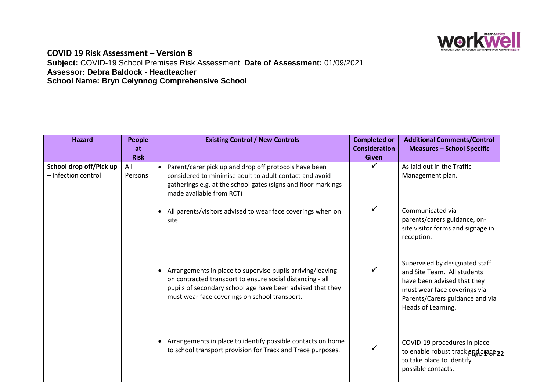

## **COVID 19 Risk Assessment – Version 8 Subject:** COVID-19 School Premises Risk Assessment **Date of Assessment:** 01/09/2021 **Assessor: Debra Baldock - Headteacher School Name: Bryn Celynnog Comprehensive School**

| <b>Hazard</b>                                  | <b>People</b><br>at<br><b>Risk</b> | <b>Existing Control / New Controls</b>                                                                                                                                                                                                 | <b>Completed or</b><br><b>Consideration</b><br><b>Given</b> | <b>Additional Comments/Control</b><br><b>Measures - School Specific</b>                                                                                                               |
|------------------------------------------------|------------------------------------|----------------------------------------------------------------------------------------------------------------------------------------------------------------------------------------------------------------------------------------|-------------------------------------------------------------|---------------------------------------------------------------------------------------------------------------------------------------------------------------------------------------|
| School drop off/Pick up<br>- Infection control | All<br>Persons                     | • Parent/carer pick up and drop off protocols have been<br>considered to minimise adult to adult contact and avoid<br>gatherings e.g. at the school gates (signs and floor markings<br>made available from RCT)                        |                                                             | As laid out in the Traffic<br>Management plan.                                                                                                                                        |
|                                                |                                    | All parents/visitors advised to wear face coverings when on<br>site.                                                                                                                                                                   | ✔                                                           | Communicated via<br>parents/carers guidance, on-<br>site visitor forms and signage in<br>reception.                                                                                   |
|                                                |                                    | Arrangements in place to supervise pupils arriving/leaving<br>on contracted transport to ensure social distancing - all<br>pupils of secondary school age have been advised that they<br>must wear face coverings on school transport. |                                                             | Supervised by designated staff<br>and Site Team. All students<br>have been advised that they<br>must wear face coverings via<br>Parents/Carers guidance and via<br>Heads of Learning. |
|                                                |                                    | Arrangements in place to identify possible contacts on home<br>to school transport provision for Track and Trace purposes.                                                                                                             |                                                             | COVID-19 procedures in place<br>to enable robust track and that<br>to take place to identify<br>possible contacts.                                                                    |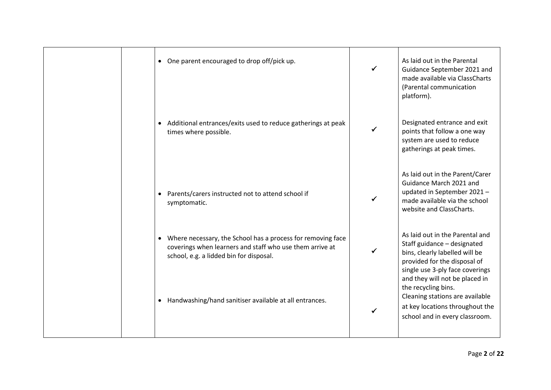| One parent encouraged to drop off/pick up.<br>$\bullet$                                                                                                              | ✓ | As laid out in the Parental<br>Guidance September 2021 and<br>made available via ClassCharts<br>(Parental communication<br>platform).                               |
|----------------------------------------------------------------------------------------------------------------------------------------------------------------------|---|---------------------------------------------------------------------------------------------------------------------------------------------------------------------|
| Additional entrances/exits used to reduce gatherings at peak<br>times where possible.                                                                                | ✓ | Designated entrance and exit<br>points that follow a one way<br>system are used to reduce<br>gatherings at peak times.                                              |
| Parents/carers instructed not to attend school if<br>$\bullet$<br>symptomatic.                                                                                       |   | As laid out in the Parent/Carer<br>Guidance March 2021 and<br>updated in September 2021-<br>made available via the school<br>website and ClassCharts.               |
| • Where necessary, the School has a process for removing face<br>coverings when learners and staff who use them arrive at<br>school, e.g. a lidded bin for disposal. |   | As laid out in the Parental and<br>Staff guidance - designated<br>bins, clearly labelled will be<br>provided for the disposal of<br>single use 3-ply face coverings |
| Handwashing/hand sanitiser available at all entrances.                                                                                                               |   | and they will not be placed in<br>the recycling bins.<br>Cleaning stations are available<br>at key locations throughout the<br>school and in every classroom.       |
|                                                                                                                                                                      |   |                                                                                                                                                                     |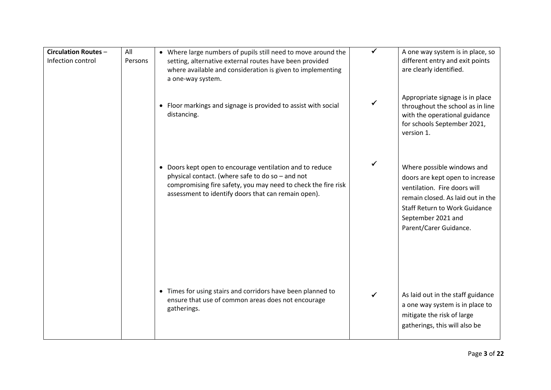| <b>Circulation Routes -</b><br>Infection control | All<br>Persons | • Where large numbers of pupils still need to move around the<br>setting, alternative external routes have been provided<br>where available and consideration is given to implementing<br>a one-way system.                          |   | A one way system is in place, so<br>different entry and exit points<br>are clearly identified.                                                                                                                             |
|--------------------------------------------------|----------------|--------------------------------------------------------------------------------------------------------------------------------------------------------------------------------------------------------------------------------------|---|----------------------------------------------------------------------------------------------------------------------------------------------------------------------------------------------------------------------------|
|                                                  |                | • Floor markings and signage is provided to assist with social<br>distancing.                                                                                                                                                        | ✓ | Appropriate signage is in place<br>throughout the school as in line<br>with the operational guidance<br>for schools September 2021,<br>version 1.                                                                          |
|                                                  |                | • Doors kept open to encourage ventilation and to reduce<br>physical contact. (where safe to do so - and not<br>compromising fire safety, you may need to check the fire risk<br>assessment to identify doors that can remain open). | ✓ | Where possible windows and<br>doors are kept open to increase<br>ventilation. Fire doors will<br>remain closed. As laid out in the<br><b>Staff Return to Work Guidance</b><br>September 2021 and<br>Parent/Carer Guidance. |
|                                                  |                | • Times for using stairs and corridors have been planned to<br>ensure that use of common areas does not encourage<br>gatherings.                                                                                                     | ✓ | As laid out in the staff guidance<br>a one way system is in place to<br>mitigate the risk of large<br>gatherings, this will also be                                                                                        |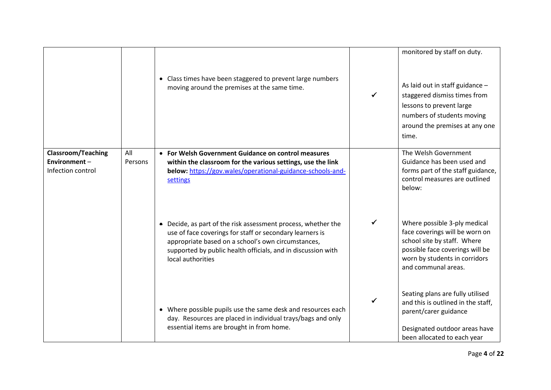|                                                                |                | • Class times have been staggered to prevent large numbers<br>moving around the premises at the same time.                                                                                                                                                         |   | monitored by staff on duty.<br>As laid out in staff guidance -<br>staggered dismiss times from<br>lessons to prevent large<br>numbers of students moving<br>around the premises at any one<br>time. |
|----------------------------------------------------------------|----------------|--------------------------------------------------------------------------------------------------------------------------------------------------------------------------------------------------------------------------------------------------------------------|---|-----------------------------------------------------------------------------------------------------------------------------------------------------------------------------------------------------|
| <b>Classroom/Teaching</b><br>Environment-<br>Infection control | All<br>Persons | • For Welsh Government Guidance on control measures<br>within the classroom for the various settings, use the link<br>below: https://gov.wales/operational-guidance-schools-and-<br>settings                                                                       |   | The Welsh Government<br>Guidance has been used and<br>forms part of the staff guidance,<br>control measures are outlined<br>below:                                                                  |
|                                                                |                | Decide, as part of the risk assessment process, whether the<br>use of face coverings for staff or secondary learners is<br>appropriate based on a school's own circumstances,<br>supported by public health officials, and in discussion with<br>local authorities | ✓ | Where possible 3-ply medical<br>face coverings will be worn on<br>school site by staff. Where<br>possible face coverings will be<br>worn by students in corridors<br>and communal areas.            |
|                                                                |                | Where possible pupils use the same desk and resources each<br>$\bullet$<br>day. Resources are placed in individual trays/bags and only<br>essential items are brought in from home.                                                                                |   | Seating plans are fully utilised<br>and this is outlined in the staff.<br>parent/carer guidance<br>Designated outdoor areas have<br>been allocated to each year                                     |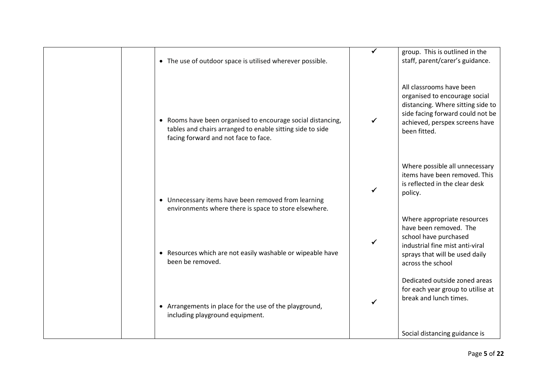| • The use of outdoor space is utilised wherever possible.                                                                                                        | group. This is outlined in the<br>staff, parent/carer's guidance.                                                                                                                    |
|------------------------------------------------------------------------------------------------------------------------------------------------------------------|--------------------------------------------------------------------------------------------------------------------------------------------------------------------------------------|
| • Rooms have been organised to encourage social distancing,<br>tables and chairs arranged to enable sitting side to side<br>facing forward and not face to face. | All classrooms have been<br>organised to encourage social<br>distancing. Where sitting side to<br>side facing forward could not be<br>achieved, perspex screens have<br>been fitted. |
| • Unnecessary items have been removed from learning<br>environments where there is space to store elsewhere.                                                     | Where possible all unnecessary<br>items have been removed. This<br>is reflected in the clear desk<br>policy.                                                                         |
| • Resources which are not easily washable or wipeable have<br>been be removed.                                                                                   | Where appropriate resources<br>have been removed. The<br>school have purchased<br>industrial fine mist anti-viral<br>sprays that will be used daily<br>across the school             |
| • Arrangements in place for the use of the playground,<br>including playground equipment.                                                                        | Dedicated outside zoned areas<br>for each year group to utilise at<br>break and lunch times.<br>Social distancing guidance is                                                        |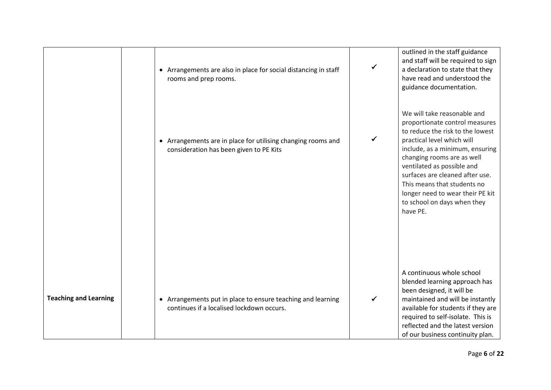|                              | • Arrangements are also in place for social distancing in staff<br>rooms and prep rooms.                 | outlined in the staff guidance<br>and staff will be required to sign<br>a declaration to state that they<br>have read and understood the<br>guidance documentation.                                                                                                                                                                                                             |
|------------------------------|----------------------------------------------------------------------------------------------------------|---------------------------------------------------------------------------------------------------------------------------------------------------------------------------------------------------------------------------------------------------------------------------------------------------------------------------------------------------------------------------------|
|                              | • Arrangements are in place for utilising changing rooms and<br>consideration has been given to PE Kits  | We will take reasonable and<br>proportionate control measures<br>to reduce the risk to the lowest<br>practical level which will<br>include, as a minimum, ensuring<br>changing rooms are as well<br>ventilated as possible and<br>surfaces are cleaned after use.<br>This means that students no<br>longer need to wear their PE kit<br>to school on days when they<br>have PE. |
| <b>Teaching and Learning</b> | • Arrangements put in place to ensure teaching and learning<br>continues if a localised lockdown occurs. | A continuous whole school<br>blended learning approach has<br>been designed, it will be<br>maintained and will be instantly<br>available for students if they are<br>required to self-isolate. This is<br>reflected and the latest version<br>of our business continuity plan.                                                                                                  |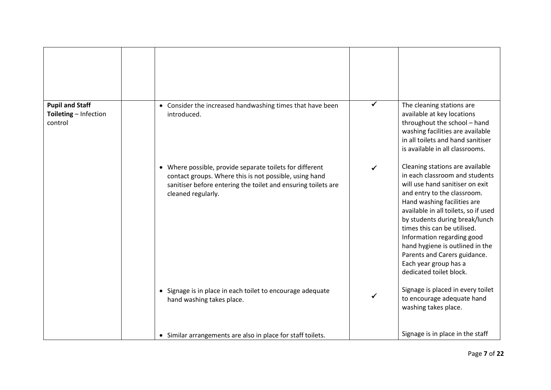| <b>Pupil and Staff</b><br>Toileting - Infection<br>control | • Consider the increased handwashing times that have been<br>introduced.                                                                                                                                             | ✓ | The cleaning stations are<br>available at key locations<br>throughout the school - hand<br>washing facilities are available<br>in all toilets and hand sanitiser<br>is available in all classrooms.                                                                                                                                                                                                                              |
|------------------------------------------------------------|----------------------------------------------------------------------------------------------------------------------------------------------------------------------------------------------------------------------|---|----------------------------------------------------------------------------------------------------------------------------------------------------------------------------------------------------------------------------------------------------------------------------------------------------------------------------------------------------------------------------------------------------------------------------------|
|                                                            | Where possible, provide separate toilets for different<br>$\bullet$<br>contact groups. Where this is not possible, using hand<br>sanitiser before entering the toilet and ensuring toilets are<br>cleaned regularly. |   | Cleaning stations are available<br>in each classroom and students<br>will use hand sanitiser on exit<br>and entry to the classroom.<br>Hand washing facilities are<br>available in all toilets, so if used<br>by students during break/lunch<br>times this can be utilised.<br>Information regarding good<br>hand hygiene is outlined in the<br>Parents and Carers guidance.<br>Each year group has a<br>dedicated toilet block. |
|                                                            | • Signage is in place in each toilet to encourage adequate<br>hand washing takes place.                                                                                                                              |   | Signage is placed in every toilet<br>to encourage adequate hand<br>washing takes place.                                                                                                                                                                                                                                                                                                                                          |
|                                                            | • Similar arrangements are also in place for staff toilets.                                                                                                                                                          |   | Signage is in place in the staff                                                                                                                                                                                                                                                                                                                                                                                                 |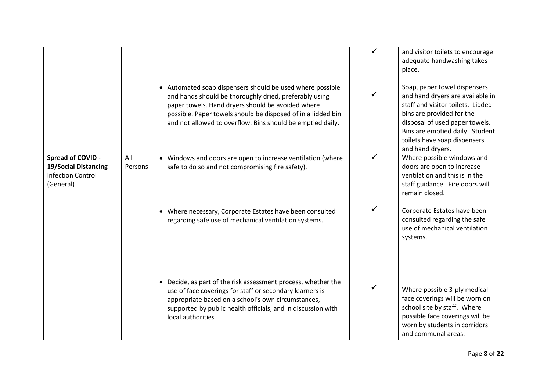|                                                                                           |                | • Automated soap dispensers should be used where possible<br>and hands should be thoroughly dried, preferably using<br>paper towels. Hand dryers should be avoided where<br>possible. Paper towels should be disposed of in a lidded bin<br>and not allowed to overflow. Bins should be emptied daily. |   | and visitor toilets to encourage<br>adequate handwashing takes<br>place.<br>Soap, paper towel dispensers<br>and hand dryers are available in<br>staff and visitor toilets. Lidded<br>bins are provided for the<br>disposal of used paper towels.<br>Bins are emptied daily. Student<br>toilets have soap dispensers |
|-------------------------------------------------------------------------------------------|----------------|--------------------------------------------------------------------------------------------------------------------------------------------------------------------------------------------------------------------------------------------------------------------------------------------------------|---|---------------------------------------------------------------------------------------------------------------------------------------------------------------------------------------------------------------------------------------------------------------------------------------------------------------------|
| Spread of COVID -<br><b>19/Social Distancing</b><br><b>Infection Control</b><br>(General) | All<br>Persons | • Windows and doors are open to increase ventilation (where<br>safe to do so and not compromising fire safety).                                                                                                                                                                                        | ✓ | and hand dryers.<br>Where possible windows and<br>doors are open to increase<br>ventilation and this is in the<br>staff guidance. Fire doors will<br>remain closed.                                                                                                                                                 |
|                                                                                           |                | • Where necessary, Corporate Estates have been consulted<br>regarding safe use of mechanical ventilation systems.                                                                                                                                                                                      | ✓ | Corporate Estates have been<br>consulted regarding the safe<br>use of mechanical ventilation<br>systems.                                                                                                                                                                                                            |
|                                                                                           |                | • Decide, as part of the risk assessment process, whether the<br>use of face coverings for staff or secondary learners is<br>appropriate based on a school's own circumstances,<br>supported by public health officials, and in discussion with<br>local authorities                                   |   | Where possible 3-ply medical<br>face coverings will be worn on<br>school site by staff. Where<br>possible face coverings will be<br>worn by students in corridors<br>and communal areas.                                                                                                                            |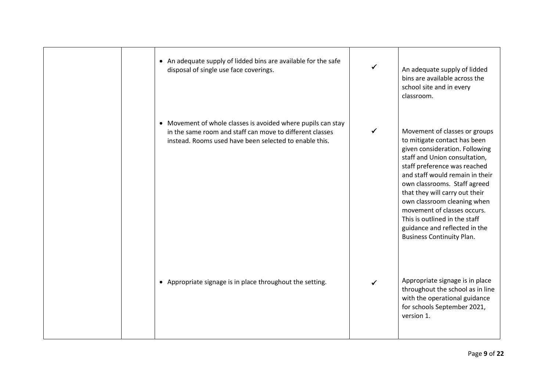| • An adequate supply of lidded bins are available for the safe<br>disposal of single use face coverings.                                                                           | $\checkmark$ | An adequate supply of lidded<br>bins are available across the<br>school site and in every<br>classroom.                                                                                                                                                                                                                                                                                                                                   |
|------------------------------------------------------------------------------------------------------------------------------------------------------------------------------------|--------------|-------------------------------------------------------------------------------------------------------------------------------------------------------------------------------------------------------------------------------------------------------------------------------------------------------------------------------------------------------------------------------------------------------------------------------------------|
| • Movement of whole classes is avoided where pupils can stay<br>in the same room and staff can move to different classes<br>instead. Rooms used have been selected to enable this. | ✓            | Movement of classes or groups<br>to mitigate contact has been<br>given consideration. Following<br>staff and Union consultation,<br>staff preference was reached<br>and staff would remain in their<br>own classrooms. Staff agreed<br>that they will carry out their<br>own classroom cleaning when<br>movement of classes occurs.<br>This is outlined in the staff<br>guidance and reflected in the<br><b>Business Continuity Plan.</b> |
| • Appropriate signage is in place throughout the setting.                                                                                                                          |              | Appropriate signage is in place<br>throughout the school as in line<br>with the operational guidance<br>for schools September 2021,<br>version 1.                                                                                                                                                                                                                                                                                         |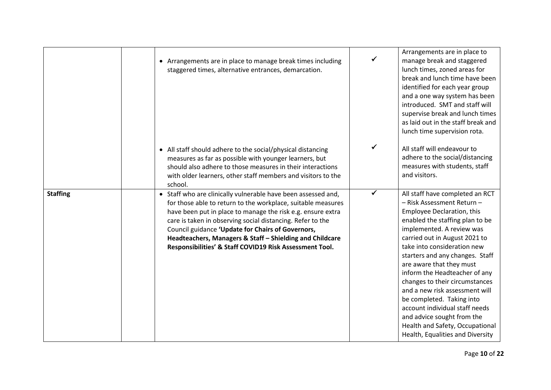|                 | • Arrangements are in place to manage break times including<br>staggered times, alternative entrances, demarcation.                                                                                                                                                                                                                                                                                                                    |              | Arrangements are in place to<br>manage break and staggered<br>lunch times, zoned areas for<br>break and lunch time have been<br>identified for each year group<br>and a one way system has been<br>introduced. SMT and staff will<br>supervise break and lunch times<br>as laid out in the staff break and<br>lunch time supervision rota.                                                                                                                                                                                                                         |
|-----------------|----------------------------------------------------------------------------------------------------------------------------------------------------------------------------------------------------------------------------------------------------------------------------------------------------------------------------------------------------------------------------------------------------------------------------------------|--------------|--------------------------------------------------------------------------------------------------------------------------------------------------------------------------------------------------------------------------------------------------------------------------------------------------------------------------------------------------------------------------------------------------------------------------------------------------------------------------------------------------------------------------------------------------------------------|
|                 | • All staff should adhere to the social/physical distancing<br>measures as far as possible with younger learners, but<br>should also adhere to those measures in their interactions<br>with older learners, other staff members and visitors to the<br>school.                                                                                                                                                                         | $\checkmark$ | All staff will endeavour to<br>adhere to the social/distancing<br>measures with students, staff<br>and visitors.                                                                                                                                                                                                                                                                                                                                                                                                                                                   |
| <b>Staffing</b> | • Staff who are clinically vulnerable have been assessed and,<br>for those able to return to the workplace, suitable measures<br>have been put in place to manage the risk e.g. ensure extra<br>care is taken in observing social distancing. Refer to the<br>Council guidance 'Update for Chairs of Governors,<br>Headteachers, Managers & Staff - Shielding and Childcare<br>Responsibilities' & Staff COVID19 Risk Assessment Tool. | $\checkmark$ | All staff have completed an RCT<br>- Risk Assessment Return-<br>Employee Declaration, this<br>enabled the staffing plan to be<br>implemented. A review was<br>carried out in August 2021 to<br>take into consideration new<br>starters and any changes. Staff<br>are aware that they must<br>inform the Headteacher of any<br>changes to their circumstances<br>and a new risk assessment will<br>be completed. Taking into<br>account individual staff needs<br>and advice sought from the<br>Health and Safety, Occupational<br>Health, Equalities and Diversity |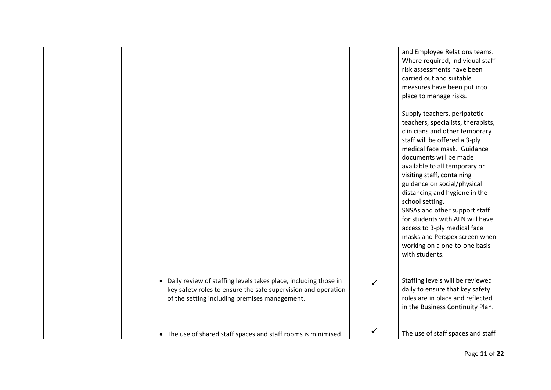|                                                                                                                                                                                     | and Employee Relations teams.<br>Where required, individual staff<br>risk assessments have been<br>carried out and suitable<br>measures have been put into<br>place to manage risks.<br>Supply teachers, peripatetic<br>teachers, specialists, therapists,<br>clinicians and other temporary                                                                                                                                     |
|-------------------------------------------------------------------------------------------------------------------------------------------------------------------------------------|----------------------------------------------------------------------------------------------------------------------------------------------------------------------------------------------------------------------------------------------------------------------------------------------------------------------------------------------------------------------------------------------------------------------------------|
|                                                                                                                                                                                     | staff will be offered a 3-ply<br>medical face mask. Guidance<br>documents will be made<br>available to all temporary or<br>visiting staff, containing<br>guidance on social/physical<br>distancing and hygiene in the<br>school setting.<br>SNSAs and other support staff<br>for students with ALN will have<br>access to 3-ply medical face<br>masks and Perspex screen when<br>working on a one-to-one basis<br>with students. |
| • Daily review of staffing levels takes place, including those in<br>key safety roles to ensure the safe supervision and operation<br>of the setting including premises management. | Staffing levels will be reviewed<br>daily to ensure that key safety<br>roles are in place and reflected<br>in the Business Continuity Plan.                                                                                                                                                                                                                                                                                      |
| • The use of shared staff spaces and staff rooms is minimised.                                                                                                                      | The use of staff spaces and staff                                                                                                                                                                                                                                                                                                                                                                                                |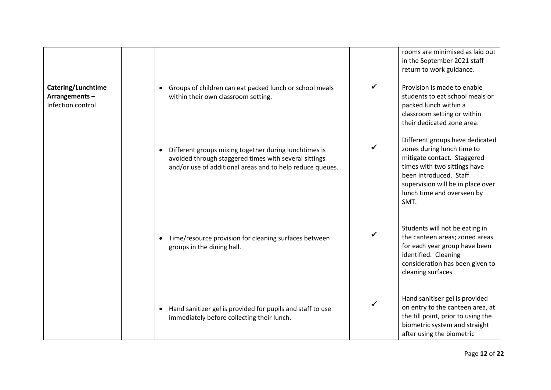|                                                          |                                                                                                                                                                             |   | rooms are minimised as laid out<br>in the September 2021 staff<br>return to work guidance.                                                                                                                                        |
|----------------------------------------------------------|-----------------------------------------------------------------------------------------------------------------------------------------------------------------------------|---|-----------------------------------------------------------------------------------------------------------------------------------------------------------------------------------------------------------------------------------|
| Catering/Lunchtime<br>Arrangements-<br>Infection control | Groups of children can eat packed lunch or school meals<br>$\bullet$<br>within their own classroom setting.                                                                 | ✓ | Provision is made to enable<br>students to eat school meals or<br>packed lunch within a<br>classroom setting or within<br>their dedicated zone area.                                                                              |
|                                                          | Different groups mixing together during lunchtimes is<br>avoided through staggered times with several sittings<br>and/or use of additional areas and to help reduce queues. |   | Different groups have dedicated<br>zones during lunch time to<br>mitigate contact. Staggered<br>times with two sittings have<br>been introduced. Staff<br>supervision will be in place over<br>lunch time and overseen by<br>SMT. |
|                                                          | Time/resource provision for cleaning surfaces between<br>groups in the dining hall.                                                                                         |   | Students will not be eating in<br>the canteen areas; zoned areas<br>for each year group have been<br>identified. Cleaning<br>consideration has been given to<br>cleaning surfaces                                                 |
|                                                          | Hand sanitizer gel is provided for pupils and staff to use<br>$\bullet$<br>immediately before collecting their lunch.                                                       | ✓ | Hand sanitiser gel is provided<br>on entry to the canteen area, at<br>the till point, prior to using the<br>biometric system and straight<br>after using the biometric                                                            |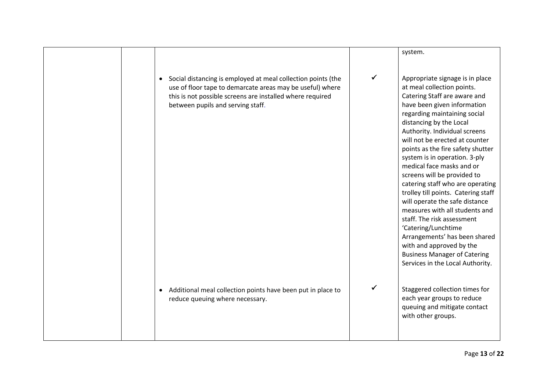|                                                                                                                                                                                                                             |              | system.                                                                                                                                                                                                                                                                                                                                                                                                                                                                                                                                                                                                                                                                                                                                  |
|-----------------------------------------------------------------------------------------------------------------------------------------------------------------------------------------------------------------------------|--------------|------------------------------------------------------------------------------------------------------------------------------------------------------------------------------------------------------------------------------------------------------------------------------------------------------------------------------------------------------------------------------------------------------------------------------------------------------------------------------------------------------------------------------------------------------------------------------------------------------------------------------------------------------------------------------------------------------------------------------------------|
| Social distancing is employed at meal collection points (the<br>use of floor tape to demarcate areas may be useful) where<br>this is not possible screens are installed where required<br>between pupils and serving staff. | $\checkmark$ | Appropriate signage is in place<br>at meal collection points.<br>Catering Staff are aware and<br>have been given information<br>regarding maintaining social<br>distancing by the Local<br>Authority. Individual screens<br>will not be erected at counter<br>points as the fire safety shutter<br>system is in operation. 3-ply<br>medical face masks and or<br>screens will be provided to<br>catering staff who are operating<br>trolley till points. Catering staff<br>will operate the safe distance<br>measures with all students and<br>staff. The risk assessment<br>'Catering/Lunchtime<br>Arrangements' has been shared<br>with and approved by the<br><b>Business Manager of Catering</b><br>Services in the Local Authority. |
| Additional meal collection points have been put in place to<br>reduce queuing where necessary.                                                                                                                              | ✓            | Staggered collection times for<br>each year groups to reduce<br>queuing and mitigate contact<br>with other groups.                                                                                                                                                                                                                                                                                                                                                                                                                                                                                                                                                                                                                       |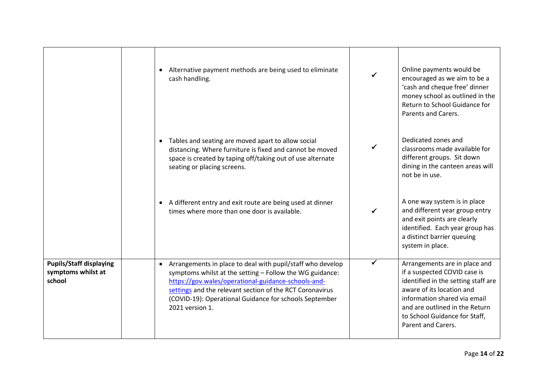|                                                                | Alternative payment methods are being used to eliminate<br>cash handling.                                                                                                                                                                                                                                                           | Online payments would be<br>encouraged as we aim to be a<br>'cash and cheque free' dinner<br>money school as outlined in the<br>Return to School Guidance for<br>Parents and Carers.                                                                       |
|----------------------------------------------------------------|-------------------------------------------------------------------------------------------------------------------------------------------------------------------------------------------------------------------------------------------------------------------------------------------------------------------------------------|------------------------------------------------------------------------------------------------------------------------------------------------------------------------------------------------------------------------------------------------------------|
|                                                                | Tables and seating are moved apart to allow social<br>distancing. Where furniture is fixed and cannot be moved<br>space is created by taping off/taking out of use alternate<br>seating or placing screens.                                                                                                                         | Dedicated zones and<br>classrooms made available for<br>different groups. Sit down<br>dining in the canteen areas will<br>not be in use.                                                                                                                   |
|                                                                | A different entry and exit route are being used at dinner<br>times where more than one door is available.                                                                                                                                                                                                                           | A one way system is in place<br>and different year group entry<br>and exit points are clearly<br>identified. Each year group has<br>a distinct barrier queuing<br>system in place.                                                                         |
| <b>Pupils/Staff displaying</b><br>symptoms whilst at<br>school | Arrangements in place to deal with pupil/staff who develop<br>$\bullet$<br>symptoms whilst at the setting - Follow the WG guidance:<br>https://gov.wales/operational-guidance-schools-and-<br>settings and the relevant section of the RCT Coronavirus<br>(COVID-19): Operational Guidance for schools September<br>2021 version 1. | Arrangements are in place and<br>if a suspected COVID case is<br>identified in the setting staff are<br>aware of its location and<br>information shared via email<br>and are outlined in the Return<br>to School Guidance for Staff,<br>Parent and Carers. |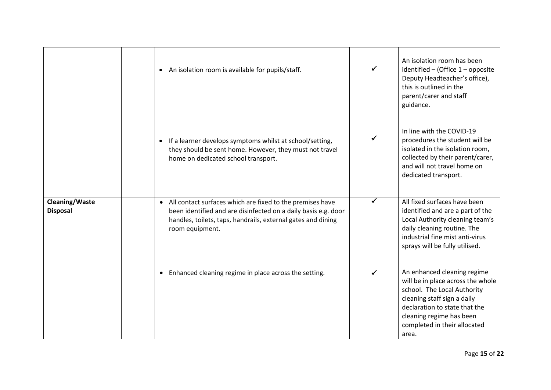|                                          | An isolation room is available for pupils/staff.<br>$\bullet$                                                                                                                                                               |   | An isolation room has been<br>identified - (Office 1 - opposite<br>Deputy Headteacher's office),<br>this is outlined in the<br>parent/carer and staff<br>guidance.                                                                   |
|------------------------------------------|-----------------------------------------------------------------------------------------------------------------------------------------------------------------------------------------------------------------------------|---|--------------------------------------------------------------------------------------------------------------------------------------------------------------------------------------------------------------------------------------|
|                                          | If a learner develops symptoms whilst at school/setting,<br>they should be sent home. However, they must not travel<br>home on dedicated school transport.                                                                  |   | In line with the COVID-19<br>procedures the student will be<br>isolated in the isolation room,<br>collected by their parent/carer,<br>and will not travel home on<br>dedicated transport.                                            |
| <b>Cleaning/Waste</b><br><b>Disposal</b> | All contact surfaces which are fixed to the premises have<br>$\bullet$<br>been identified and are disinfected on a daily basis e.g. door<br>handles, toilets, taps, handrails, external gates and dining<br>room equipment. | ✓ | All fixed surfaces have been<br>identified and are a part of the<br>Local Authority cleaning team's<br>daily cleaning routine. The<br>industrial fine mist anti-virus<br>sprays will be fully utilised.                              |
|                                          | Enhanced cleaning regime in place across the setting.<br>$\bullet$                                                                                                                                                          |   | An enhanced cleaning regime<br>will be in place across the whole<br>school. The Local Authority<br>cleaning staff sign a daily<br>declaration to state that the<br>cleaning regime has been<br>completed in their allocated<br>area. |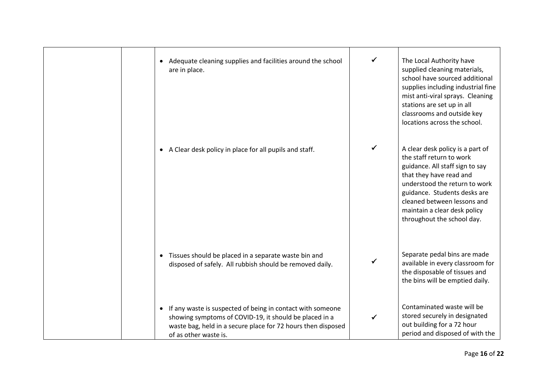| • Adequate cleaning supplies and facilities around the school<br>are in place.                                                                                                                                  | ✓            | The Local Authority have<br>supplied cleaning materials,<br>school have sourced additional<br>supplies including industrial fine<br>mist anti-viral sprays. Cleaning<br>stations are set up in all<br>classrooms and outside key<br>locations across the school.                         |
|-----------------------------------------------------------------------------------------------------------------------------------------------------------------------------------------------------------------|--------------|------------------------------------------------------------------------------------------------------------------------------------------------------------------------------------------------------------------------------------------------------------------------------------------|
| • A Clear desk policy in place for all pupils and staff.                                                                                                                                                        | $\checkmark$ | A clear desk policy is a part of<br>the staff return to work<br>guidance. All staff sign to say<br>that they have read and<br>understood the return to work<br>guidance. Students desks are<br>cleaned between lessons and<br>maintain a clear desk policy<br>throughout the school day. |
| • Tissues should be placed in a separate waste bin and<br>disposed of safely. All rubbish should be removed daily.                                                                                              |              | Separate pedal bins are made<br>available in every classroom for<br>the disposable of tissues and<br>the bins will be emptied daily.                                                                                                                                                     |
| • If any waste is suspected of being in contact with someone<br>showing symptoms of COVID-19, it should be placed in a<br>waste bag, held in a secure place for 72 hours then disposed<br>of as other waste is. | ✓            | Contaminated waste will be<br>stored securely in designated<br>out building for a 72 hour<br>period and disposed of with the                                                                                                                                                             |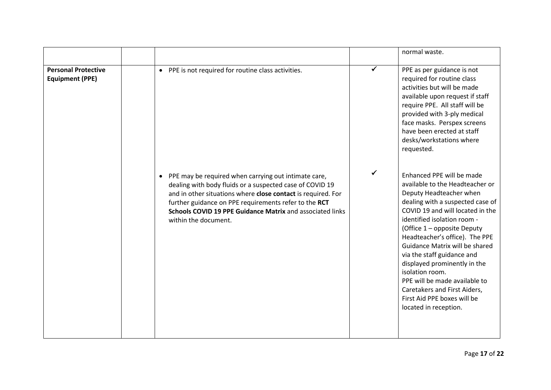|                                                      |                                                                                                                                                                                                                                                                                                                                             |   | normal waste.                                                                                                                                                                                                                                                                                                                                                                                                                                                                                               |
|------------------------------------------------------|---------------------------------------------------------------------------------------------------------------------------------------------------------------------------------------------------------------------------------------------------------------------------------------------------------------------------------------------|---|-------------------------------------------------------------------------------------------------------------------------------------------------------------------------------------------------------------------------------------------------------------------------------------------------------------------------------------------------------------------------------------------------------------------------------------------------------------------------------------------------------------|
| <b>Personal Protective</b><br><b>Equipment (PPE)</b> | PPE is not required for routine class activities.<br>$\bullet$                                                                                                                                                                                                                                                                              |   | PPE as per guidance is not<br>required for routine class<br>activities but will be made<br>available upon request if staff<br>require PPE. All staff will be<br>provided with 3-ply medical<br>face masks. Perspex screens<br>have been erected at staff<br>desks/workstations where<br>requested.                                                                                                                                                                                                          |
|                                                      | PPE may be required when carrying out intimate care,<br>$\bullet$<br>dealing with body fluids or a suspected case of COVID 19<br>and in other situations where close contact is required. For<br>further guidance on PPE requirements refer to the RCT<br>Schools COVID 19 PPE Guidance Matrix and associated links<br>within the document. | ✓ | Enhanced PPE will be made<br>available to the Headteacher or<br>Deputy Headteacher when<br>dealing with a suspected case of<br>COVID 19 and will located in the<br>identified isolation room -<br>(Office 1 - opposite Deputy<br>Headteacher's office). The PPE<br>Guidance Matrix will be shared<br>via the staff guidance and<br>displayed prominently in the<br>isolation room.<br>PPE will be made available to<br>Caretakers and First Aiders,<br>First Aid PPE boxes will be<br>located in reception. |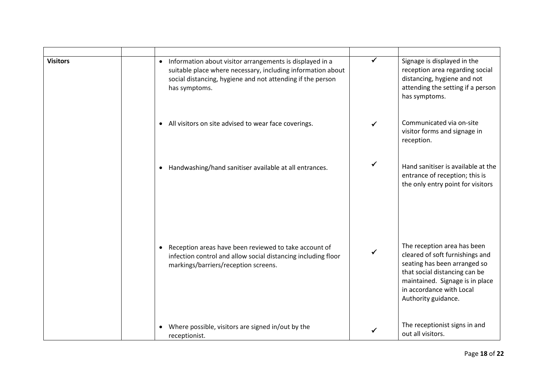| <b>Visitors</b> | Information about visitor arrangements is displayed in a<br>$\bullet$<br>suitable place where necessary, including information about<br>social distancing, hygiene and not attending if the person<br>has symptoms. | ✓ | Signage is displayed in the<br>reception area regarding social<br>distancing, hygiene and not<br>attending the setting if a person<br>has symptoms.                                                                   |
|-----------------|---------------------------------------------------------------------------------------------------------------------------------------------------------------------------------------------------------------------|---|-----------------------------------------------------------------------------------------------------------------------------------------------------------------------------------------------------------------------|
|                 | All visitors on site advised to wear face coverings.<br>$\bullet$                                                                                                                                                   |   | Communicated via on-site<br>visitor forms and signage in<br>reception.                                                                                                                                                |
|                 | Handwashing/hand sanitiser available at all entrances.                                                                                                                                                              | ✓ | Hand sanitiser is available at the<br>entrance of reception; this is<br>the only entry point for visitors                                                                                                             |
|                 | Reception areas have been reviewed to take account of<br>$\bullet$<br>infection control and allow social distancing including floor<br>markings/barriers/reception screens.                                         |   | The reception area has been<br>cleared of soft furnishings and<br>seating has been arranged so<br>that social distancing can be<br>maintained. Signage is in place<br>in accordance with Local<br>Authority guidance. |
|                 | Where possible, visitors are signed in/out by the<br>receptionist.                                                                                                                                                  |   | The receptionist signs in and<br>out all visitors.                                                                                                                                                                    |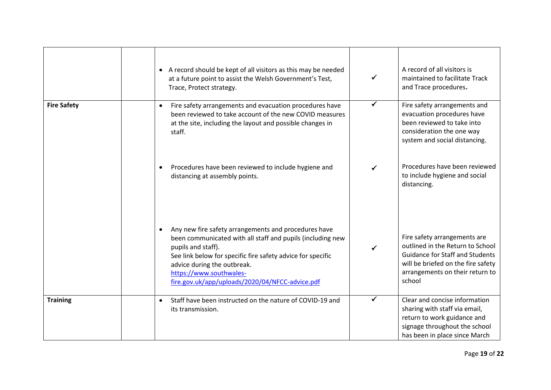|                    | • A record should be kept of all visitors as this may be needed<br>at a future point to assist the Welsh Government's Test,<br>Trace, Protect strategy.                                                                                                                                                                           | $\checkmark$ | A record of all visitors is<br>maintained to facilitate Track<br>and Trace procedures.                                                                                                        |
|--------------------|-----------------------------------------------------------------------------------------------------------------------------------------------------------------------------------------------------------------------------------------------------------------------------------------------------------------------------------|--------------|-----------------------------------------------------------------------------------------------------------------------------------------------------------------------------------------------|
| <b>Fire Safety</b> | Fire safety arrangements and evacuation procedures have<br>$\bullet$<br>been reviewed to take account of the new COVID measures<br>at the site, including the layout and possible changes in<br>staff.                                                                                                                            | $\checkmark$ | Fire safety arrangements and<br>evacuation procedures have<br>been reviewed to take into<br>consideration the one way<br>system and social distancing.                                        |
|                    | Procedures have been reviewed to include hygiene and<br>$\bullet$<br>distancing at assembly points.                                                                                                                                                                                                                               | ✓            | Procedures have been reviewed<br>to include hygiene and social<br>distancing.                                                                                                                 |
|                    | Any new fire safety arrangements and procedures have<br>$\bullet$<br>been communicated with all staff and pupils (including new<br>pupils and staff).<br>See link below for specific fire safety advice for specific<br>advice during the outbreak.<br>https://www.southwales-<br>fire.gov.uk/app/uploads/2020/04/NFCC-advice.pdf | ✓            | Fire safety arrangements are<br>outlined in the Return to School<br><b>Guidance for Staff and Students</b><br>will be briefed on the fire safety<br>arrangements on their return to<br>school |
| <b>Training</b>    | Staff have been instructed on the nature of COVID-19 and<br>$\bullet$<br>its transmission.                                                                                                                                                                                                                                        | ✓            | Clear and concise information<br>sharing with staff via email,<br>return to work guidance and<br>signage throughout the school<br>has been in place since March                               |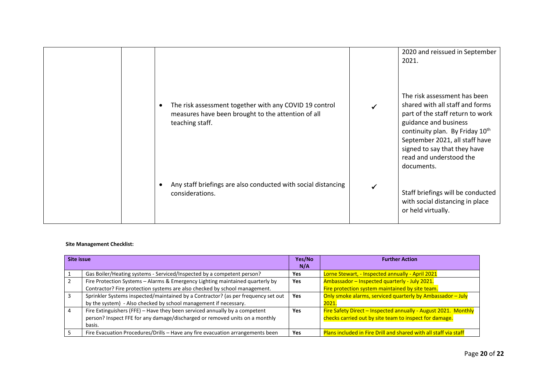|  |                                                                                                                                 | 2020 and reissued in September<br>2021.                                                                                                                                                                                                                                                |
|--|---------------------------------------------------------------------------------------------------------------------------------|----------------------------------------------------------------------------------------------------------------------------------------------------------------------------------------------------------------------------------------------------------------------------------------|
|  | The risk assessment together with any COVID 19 control<br>measures have been brought to the attention of all<br>teaching staff. | The risk assessment has been<br>shared with all staff and forms<br>part of the staff return to work<br>guidance and business<br>continuity plan. By Friday 10 <sup>th</sup><br>September 2021, all staff have<br>signed to say that they have<br>read and understood the<br>documents. |
|  | Any staff briefings are also conducted with social distancing<br>considerations.                                                | Staff briefings will be conducted<br>with social distancing in place<br>or held virtually.                                                                                                                                                                                             |

## **Site Management Checklist:**

| Site issue |                                                                                                                                                                     | Yes/No<br>N/A | <b>Further Action</b>                                                                                                    |
|------------|---------------------------------------------------------------------------------------------------------------------------------------------------------------------|---------------|--------------------------------------------------------------------------------------------------------------------------|
|            | Gas Boiler/Heating systems - Serviced/Inspected by a competent person?                                                                                              | Yes           | Lorne Stewart, - Inspected annually - April 2021                                                                         |
|            | Fire Protection Systems - Alarms & Emergency Lighting maintained quarterly by<br>Contractor? Fire protection systems are also checked by school management.         | Yes           | Ambassador - Inspected quarterly - July 2021.<br>Fire protection system maintained by site team.                         |
|            | Sprinkler Systems inspected/maintained by a Contractor? (as per frequency set out<br>by the system) - Also checked by school management if necessary.               | <b>Yes</b>    | Only smoke alarms, serviced quarterly by Ambassador - July<br>2021.                                                      |
|            | Fire Extinguishers (FFE) - Have they been serviced annually by a competent<br>person? Inspect FFE for any damage/discharged or removed units on a monthly<br>basis. | Yes           | Fire Safety Direct - Inspected annually - August 2021. Monthly<br>checks carried out by site team to inspect for damage. |
|            | Fire Evacuation Procedures/Drills - Have any fire evacuation arrangements been                                                                                      | <b>Yes</b>    | <b>Plans included in Fire Drill and shared with all staff via staff</b>                                                  |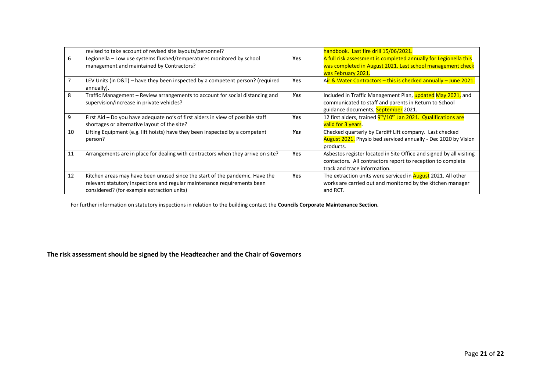|    | revised to take account of revised site layouts/personnel?                                                                                                                                             |            | handbook. Last fire drill 15/06/2021.                                                                                                                              |
|----|--------------------------------------------------------------------------------------------------------------------------------------------------------------------------------------------------------|------------|--------------------------------------------------------------------------------------------------------------------------------------------------------------------|
| 6  | Legionella - Low use systems flushed/temperatures monitored by school<br>management and maintained by Contractors?                                                                                     | <b>Yes</b> | A full risk assessment is completed annually for Legionella this<br>was completed in August 2021. Last school management check<br>was February 2021.               |
|    | LEV Units (in D&T) – have they been inspected by a competent person? (required<br>annually).                                                                                                           | <b>Yes</b> | Air & Water Contractors – this is checked annually – June 2021.                                                                                                    |
| 8  | Traffic Management - Review arrangements to account for social distancing and<br>supervision/increase in private vehicles?                                                                             | Yes        | Included in Traffic Management Plan, updated May 2021, and<br>communicated to staff and parents in Return to School<br>guidance documents, September 2021.         |
| 9  | First Aid – Do you have adequate no's of first aiders in view of possible staff<br>shortages or alternative layout of the site?                                                                        | <b>Yes</b> | 12 first aiders, trained 9th/10th Jan 2021. Qualifications are<br>valid for 3 years.                                                                               |
| 10 | Lifting Equipment (e.g. lift hoists) have they been inspected by a competent<br>person?                                                                                                                | Yes        | Checked quarterly by Cardiff Lift company. Last checked<br><b>August 2021.</b> Physio bed serviced annually - Dec 2020 by Vision<br>products.                      |
| 11 | Arrangements are in place for dealing with contractors when they arrive on site?                                                                                                                       | <b>Yes</b> | Asbestos register located in Site Office and signed by all visiting<br>contactors. All contractors report to reception to complete<br>track and trace information. |
| 12 | Kitchen areas may have been unused since the start of the pandemic. Have the<br>relevant statutory inspections and regular maintenance requirements been<br>considered? (for example extraction units) | <b>Yes</b> | The extraction units were serviced in <b>August</b> 2021. All other<br>works are carried out and monitored by the kitchen manager<br>and RCT.                      |

For further information on statutory inspections in relation to the building contact the **Councils Corporate Maintenance Section.**

## **The risk assessment should be signed by the Headteacher and the Chair of Governors**